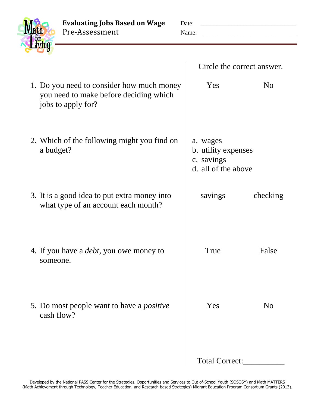**Evaluating Jobs Based on Wage** Date: \_\_\_\_\_\_\_\_\_\_\_\_\_\_\_\_\_\_\_\_\_\_\_\_\_\_\_\_\_\_\_ Pre-Assessment Name: \_\_\_\_\_\_\_\_\_\_\_\_\_\_\_\_\_\_\_\_\_\_\_\_\_\_\_\_\_\_

| Math<br>for<br>diving |
|-----------------------|
|                       |

|                                                                                                           | Circle the correct answer.                                           |                |
|-----------------------------------------------------------------------------------------------------------|----------------------------------------------------------------------|----------------|
| 1. Do you need to consider how much money<br>you need to make before deciding which<br>jobs to apply for? | Yes                                                                  | N <sub>0</sub> |
| 2. Which of the following might you find on<br>a budget?                                                  | a. wages<br>b. utility expenses<br>c. savings<br>d. all of the above |                |
| 3. It is a good idea to put extra money into<br>what type of an account each month?                       | savings                                                              | checking       |
| 4. If you have a <i>debt</i> , you owe money to<br>someone.                                               | True                                                                 | False          |
| 5. Do most people want to have a <i>positive</i><br>cash flow?                                            | Yes                                                                  | N <sub>0</sub> |
|                                                                                                           | Total Correct:                                                       |                |